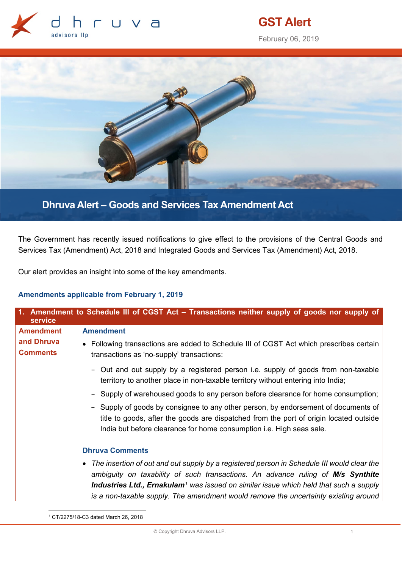

# **GST Alert**

February 06, 2019



**Dhruva Alert – Goods and Services Tax Amendment Act** 

The Government has recently issued notifications to give effect to the provisions of the Central Goods and Services Tax (Amendment) Act, 2018 and Integrated Goods and Services Tax (Amendment) Act, 2018.

Our alert provides an insight into some of the key amendments.

# **Amendments applicable from February 1, 2019**

| 1. Amendment to Schedule III of CGST Act - Transactions neither supply of goods nor supply of<br>service |                                                                                                                                                                                                                                                                                                                                                                             |
|----------------------------------------------------------------------------------------------------------|-----------------------------------------------------------------------------------------------------------------------------------------------------------------------------------------------------------------------------------------------------------------------------------------------------------------------------------------------------------------------------|
| <b>Amendment</b>                                                                                         | <b>Amendment</b>                                                                                                                                                                                                                                                                                                                                                            |
| and Dhruva<br><b>Comments</b>                                                                            | • Following transactions are added to Schedule III of CGST Act which prescribes certain<br>transactions as 'no-supply' transactions:                                                                                                                                                                                                                                        |
|                                                                                                          | Out and out supply by a registered person i.e. supply of goods from non-taxable<br>territory to another place in non-taxable territory without entering into India;                                                                                                                                                                                                         |
|                                                                                                          | - Supply of warehoused goods to any person before clearance for home consumption;                                                                                                                                                                                                                                                                                           |
|                                                                                                          | - Supply of goods by consignee to any other person, by endorsement of documents of<br>title to goods, after the goods are dispatched from the port of origin located outside<br>India but before clearance for home consumption i.e. High seas sale.                                                                                                                        |
|                                                                                                          | <b>Dhruva Comments</b>                                                                                                                                                                                                                                                                                                                                                      |
|                                                                                                          | • The insertion of out and out supply by a registered person in Schedule III would clear the<br>ambiguity on taxability of such transactions. An advance ruling of M/s Synthite<br>Industries Ltd., Ernakulam <sup>1</sup> was issued on similar issue which held that such a supply<br>is a non-taxable supply. The amendment would remove the uncertainty existing around |

<span id="page-0-0"></span>1 CT/2275/18-C3 dated March 26, 2018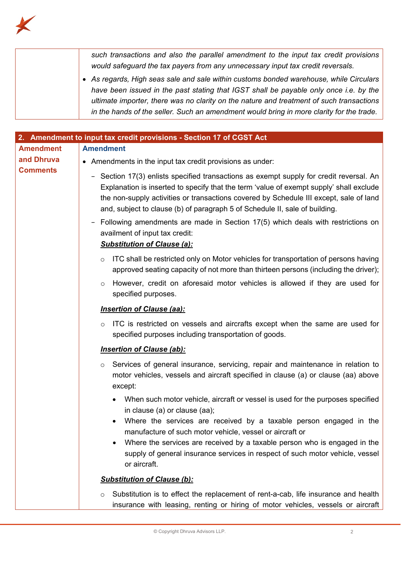

|                  | such transactions and also the parallel amendment to the input tax credit provisions<br>would safeguard the tax payers from any unnecessary input tax credit reversals.<br>• As regards, High seas sale and sale within customs bonded warehouse, while Circulars<br>have been issued in the past stating that IGST shall be payable only once i.e. by the<br>ultimate importer, there was no clarity on the nature and treatment of such transactions<br>in the hands of the seller. Such an amendment would bring in more clarity for the trade. |
|------------------|----------------------------------------------------------------------------------------------------------------------------------------------------------------------------------------------------------------------------------------------------------------------------------------------------------------------------------------------------------------------------------------------------------------------------------------------------------------------------------------------------------------------------------------------------|
|                  | 2. Amendment to input tax credit provisions - Section 17 of CGST Act                                                                                                                                                                                                                                                                                                                                                                                                                                                                               |
| <b>Amendment</b> | <b>Amendment</b>                                                                                                                                                                                                                                                                                                                                                                                                                                                                                                                                   |
| and Dhruva       | • Amendments in the input tax credit provisions as under:                                                                                                                                                                                                                                                                                                                                                                                                                                                                                          |
| <b>Comments</b>  | - Section 17(3) enlists specified transactions as exempt supply for credit reversal. An<br>Explanation is inserted to specify that the term 'value of exempt supply' shall exclude<br>the non-supply activities or transactions covered by Schedule III except, sale of land<br>and, subject to clause (b) of paragraph 5 of Schedule II, sale of building.                                                                                                                                                                                        |
|                  | Following amendments are made in Section 17(5) which deals with restrictions on<br>availment of input tax credit:<br><b>Substitution of Clause (a):</b>                                                                                                                                                                                                                                                                                                                                                                                            |
|                  | ITC shall be restricted only on Motor vehicles for transportation of persons having<br>$\circ$<br>approved seating capacity of not more than thirteen persons (including the driver);<br>However, credit on aforesaid motor vehicles is allowed if they are used for<br>$\circ$<br>specified purposes.                                                                                                                                                                                                                                             |
|                  | <b>Insertion of Clause (aa):</b>                                                                                                                                                                                                                                                                                                                                                                                                                                                                                                                   |
|                  | ITC is restricted on vessels and aircrafts except when the same are used for<br>$\circ$<br>specified purposes including transportation of goods.                                                                                                                                                                                                                                                                                                                                                                                                   |
|                  | <b>Insertion of Clause (ab):</b>                                                                                                                                                                                                                                                                                                                                                                                                                                                                                                                   |
|                  | Services of general insurance, servicing, repair and maintenance in relation to<br>$\circ$<br>motor vehicles, vessels and aircraft specified in clause (a) or clause (aa) above<br>except:                                                                                                                                                                                                                                                                                                                                                         |
|                  | When such motor vehicle, aircraft or vessel is used for the purposes specified<br>in clause (a) or clause (aa);                                                                                                                                                                                                                                                                                                                                                                                                                                    |
|                  | Where the services are received by a taxable person engaged in the<br>manufacture of such motor vehicle, vessel or aircraft or<br>Where the services are received by a taxable person who is engaged in the<br>٠<br>supply of general insurance services in respect of such motor vehicle, vessel<br>or aircraft.                                                                                                                                                                                                                                  |
|                  | <b>Substitution of Clause (b):</b>                                                                                                                                                                                                                                                                                                                                                                                                                                                                                                                 |
|                  |                                                                                                                                                                                                                                                                                                                                                                                                                                                                                                                                                    |

o Substitution is to effect the replacement of rent-a-cab, life insurance and health insurance with leasing, renting or hiring of motor vehicles, vessels or aircraft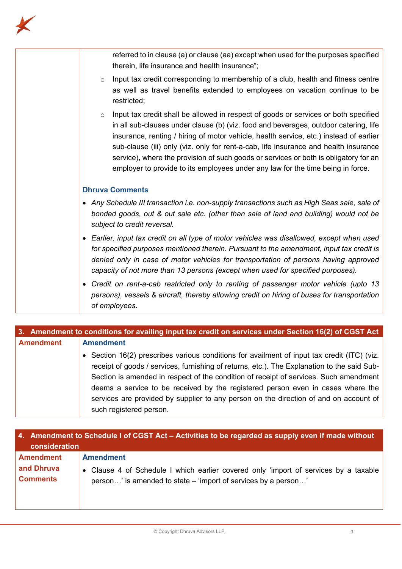

| referred to in clause (a) or clause (aa) except when used for the purposes specified<br>therein, life insurance and health insurance";                                                                                                                                                                                                                                                                                                                                                                                                              |
|-----------------------------------------------------------------------------------------------------------------------------------------------------------------------------------------------------------------------------------------------------------------------------------------------------------------------------------------------------------------------------------------------------------------------------------------------------------------------------------------------------------------------------------------------------|
| Input tax credit corresponding to membership of a club, health and fitness centre<br>$\circ$<br>as well as travel benefits extended to employees on vacation continue to be<br>restricted;                                                                                                                                                                                                                                                                                                                                                          |
| Input tax credit shall be allowed in respect of goods or services or both specified<br>$\circ$<br>in all sub-clauses under clause (b) (viz. food and beverages, outdoor catering, life<br>insurance, renting / hiring of motor vehicle, health service, etc.) instead of earlier<br>sub-clause (iii) only (viz. only for rent-a-cab, life insurance and health insurance<br>service), where the provision of such goods or services or both is obligatory for an<br>employer to provide to its employees under any law for the time being in force. |
| <b>Dhruva Comments</b>                                                                                                                                                                                                                                                                                                                                                                                                                                                                                                                              |
| • Any Schedule III transaction i.e. non-supply transactions such as High Seas sale, sale of<br>bonded goods, out & out sale etc. (other than sale of land and building) would not be<br>subject to credit reversal.                                                                                                                                                                                                                                                                                                                                 |
| • Earlier, input tax credit on all type of motor vehicles was disallowed, except when used<br>for specified purposes mentioned therein. Pursuant to the amendment, input tax credit is<br>denied only in case of motor vehicles for transportation of persons having approved<br>capacity of not more than 13 persons (except when used for specified purposes).                                                                                                                                                                                    |
| • Credit on rent-a-cab restricted only to renting of passenger motor vehicle (upto 13<br>persons), vessels & aircraft, thereby allowing credit on hiring of buses for transportation<br>of employees.                                                                                                                                                                                                                                                                                                                                               |

|                  | 3. Amendment to conditions for availing input tax credit on services under Section 16(2) of CGST Act |
|------------------|------------------------------------------------------------------------------------------------------|
| <b>Amendment</b> | <b>Amendment</b>                                                                                     |
|                  | • Section 16(2) prescribes various conditions for availment of input tax credit (ITC) (viz.          |
|                  | receipt of goods / services, furnishing of returns, etc.). The Explanation to the said Sub-          |
|                  | Section is amended in respect of the condition of receipt of services. Such amendment                |
|                  | deems a service to be received by the registered person even in cases where the                      |
|                  | services are provided by supplier to any person on the direction of and on account of                |
|                  | such registered person.                                                                              |

| 4. Amendment to Schedule I of CGST Act - Activities to be regarded as supply even if made without<br>consideration |                                                                                      |
|--------------------------------------------------------------------------------------------------------------------|--------------------------------------------------------------------------------------|
| <b>Amendment</b>                                                                                                   | <b>Amendment</b>                                                                     |
| and Dhruva                                                                                                         | • Clause 4 of Schedule I which earlier covered only 'import of services by a taxable |
| <b>Comments</b>                                                                                                    | person' is amended to state – 'import of services by a person'                       |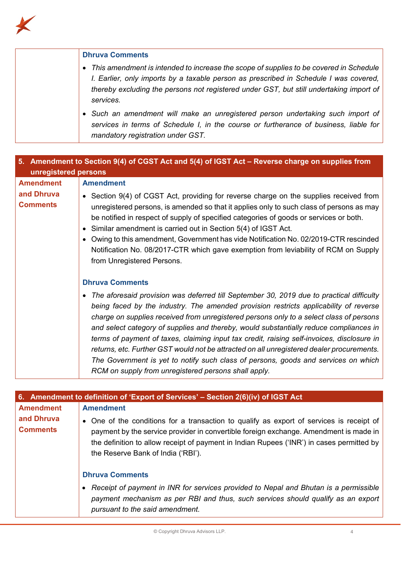

| <b>Dhruva Comments</b>                                                                                                                                                                                                                                                                    |
|-------------------------------------------------------------------------------------------------------------------------------------------------------------------------------------------------------------------------------------------------------------------------------------------|
| • This amendment is intended to increase the scope of supplies to be covered in Schedule<br>I. Earlier, only imports by a taxable person as prescribed in Schedule I was covered,<br>thereby excluding the persons not registered under GST, but still undertaking import of<br>services. |
| • Such an amendment will make an unregistered person undertaking such import of<br>services in terms of Schedule I, in the course or furtherance of business, liable for<br>mandatory registration under GST.                                                                             |

| 5. Amendment to Section 9(4) of CGST Act and 5(4) of IGST Act – Reverse charge on supplies from |                                                                                                                                                                                                                                                                                                                                                                                                                                                                                                                                                                                                                                                                                                                   |
|-------------------------------------------------------------------------------------------------|-------------------------------------------------------------------------------------------------------------------------------------------------------------------------------------------------------------------------------------------------------------------------------------------------------------------------------------------------------------------------------------------------------------------------------------------------------------------------------------------------------------------------------------------------------------------------------------------------------------------------------------------------------------------------------------------------------------------|
| unregistered persons                                                                            |                                                                                                                                                                                                                                                                                                                                                                                                                                                                                                                                                                                                                                                                                                                   |
| <b>Amendment</b><br>and Dhruva                                                                  | <b>Amendment</b><br>• Section 9(4) of CGST Act, providing for reverse charge on the supplies received from                                                                                                                                                                                                                                                                                                                                                                                                                                                                                                                                                                                                        |
| <b>Comments</b>                                                                                 | unregistered persons, is amended so that it applies only to such class of persons as may<br>be notified in respect of supply of specified categories of goods or services or both.<br>• Similar amendment is carried out in Section 5(4) of IGST Act.                                                                                                                                                                                                                                                                                                                                                                                                                                                             |
|                                                                                                 | Owing to this amendment, Government has vide Notification No. 02/2019-CTR rescinded<br>Notification No. 08/2017-CTR which gave exemption from leviability of RCM on Supply<br>from Unregistered Persons.                                                                                                                                                                                                                                                                                                                                                                                                                                                                                                          |
|                                                                                                 | <b>Dhruva Comments</b>                                                                                                                                                                                                                                                                                                                                                                                                                                                                                                                                                                                                                                                                                            |
|                                                                                                 | • The aforesaid provision was deferred till September 30, 2019 due to practical difficulty<br>being faced by the industry. The amended provision restricts applicability of reverse<br>charge on supplies received from unregistered persons only to a select class of persons<br>and select category of supplies and thereby, would substantially reduce compliances in<br>terms of payment of taxes, claiming input tax credit, raising self-invoices, disclosure in<br>returns, etc. Further GST would not be attracted on all unregistered dealer procurements.<br>The Government is yet to notify such class of persons, goods and services on which<br>RCM on supply from unregistered persons shall apply. |

| 6. Amendment to definition of 'Export of Services' – Section 2(6)(iv) of IGST Act |                                                                                                                                                                                                                                                                                                                      |  |
|-----------------------------------------------------------------------------------|----------------------------------------------------------------------------------------------------------------------------------------------------------------------------------------------------------------------------------------------------------------------------------------------------------------------|--|
| <b>Amendment</b>                                                                  | <b>Amendment</b>                                                                                                                                                                                                                                                                                                     |  |
| and Dhruva<br><b>Comments</b>                                                     | • One of the conditions for a transaction to qualify as export of services is receipt of<br>payment by the service provider in convertible foreign exchange. Amendment is made in<br>the definition to allow receipt of payment in Indian Rupees ('INR') in cases permitted by<br>the Reserve Bank of India ('RBI'). |  |
|                                                                                   | <b>Dhruva Comments</b>                                                                                                                                                                                                                                                                                               |  |
|                                                                                   | Receipt of payment in INR for services provided to Nepal and Bhutan is a permissible<br>payment mechanism as per RBI and thus, such services should qualify as an export<br>pursuant to the said amendment.                                                                                                          |  |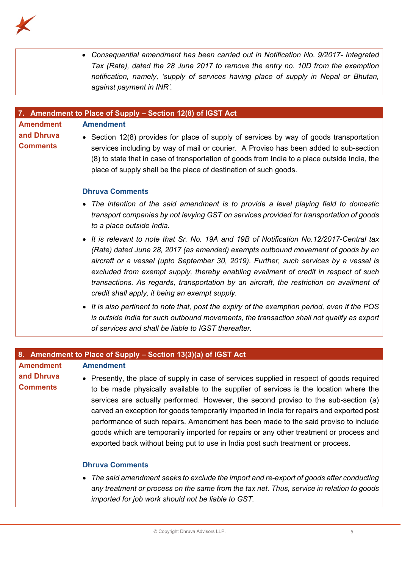

|                               | • Consequential amendment has been carried out in Notification No. 9/2017- Integrated<br>Tax (Rate), dated the 28 June 2017 to remove the entry no. 10D from the exemption<br>notification, namely, 'supply of services having place of supply in Nepal or Bhutan,<br>against payment in INR'.                                                                                                                                                                                                              |
|-------------------------------|-------------------------------------------------------------------------------------------------------------------------------------------------------------------------------------------------------------------------------------------------------------------------------------------------------------------------------------------------------------------------------------------------------------------------------------------------------------------------------------------------------------|
|                               |                                                                                                                                                                                                                                                                                                                                                                                                                                                                                                             |
| <b>Amendment</b>              | 7. Amendment to Place of Supply - Section 12(8) of IGST Act<br><b>Amendment</b>                                                                                                                                                                                                                                                                                                                                                                                                                             |
| and Dhruva<br><b>Comments</b> | • Section 12(8) provides for place of supply of services by way of goods transportation<br>services including by way of mail or courier. A Proviso has been added to sub-section<br>(8) to state that in case of transportation of goods from India to a place outside India, the<br>place of supply shall be the place of destination of such goods.                                                                                                                                                       |
|                               | <b>Dhruva Comments</b>                                                                                                                                                                                                                                                                                                                                                                                                                                                                                      |
|                               | • The intention of the said amendment is to provide a level playing field to domestic<br>transport companies by not levying GST on services provided for transportation of goods<br>to a place outside India.                                                                                                                                                                                                                                                                                               |
|                               | • It is relevant to note that Sr. No. 19A and 19B of Notification No.12/2017-Central tax<br>(Rate) dated June 28, 2017 (as amended) exempts outbound movement of goods by an<br>aircraft or a vessel (upto September 30, 2019). Further, such services by a vessel is<br>excluded from exempt supply, thereby enabling availment of credit in respect of such<br>transactions. As regards, transportation by an aircraft, the restriction on availment of<br>credit shall apply, it being an exempt supply. |
|                               | • It is also pertinent to note that, post the expiry of the exemption period, even if the POS<br>is outside India for such outbound movements, the transaction shall not qualify as export<br>of services and shall be liable to IGST thereafter.                                                                                                                                                                                                                                                           |

| 8. Amendment to Place of Supply – Section 13(3)(a) of IGST Act |                                                                                                                                                                                                                                                                                                                                                                                                                                                                                                                                                                            |
|----------------------------------------------------------------|----------------------------------------------------------------------------------------------------------------------------------------------------------------------------------------------------------------------------------------------------------------------------------------------------------------------------------------------------------------------------------------------------------------------------------------------------------------------------------------------------------------------------------------------------------------------------|
| <b>Amendment</b><br>and Dhruva<br><b>Comments</b>              | <b>Amendment</b><br>Presently, the place of supply in case of services supplied in respect of goods required<br>to be made physically available to the supplier of services is the location where the<br>services are actually performed. However, the second proviso to the sub-section (a)<br>carved an exception for goods temporarily imported in India for repairs and exported post<br>performance of such repairs. Amendment has been made to the said proviso to include<br>goods which are temporarily imported for repairs or any other treatment or process and |
|                                                                | exported back without being put to use in India post such treatment or process.<br><b>Dhruva Comments</b><br>The said amendment seeks to exclude the import and re-export of goods after conducting<br>any treatment or process on the same from the tax net. Thus, service in relation to goods<br>imported for job work should not be liable to GST.                                                                                                                                                                                                                     |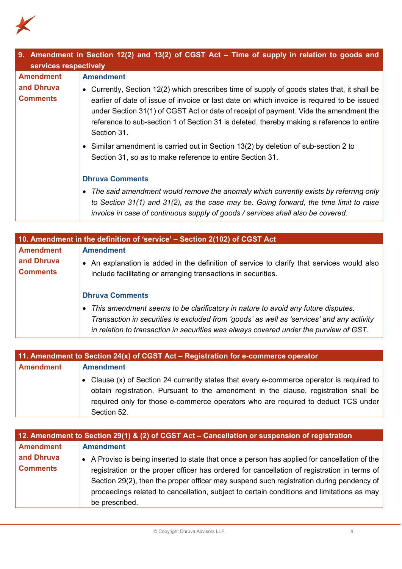

| 9. Amendment in Section 12(2) and 13(2) of CGST Act – Time of supply in relation to goods and<br>services respectively |                                                                                                                                                                                                                                                                                                                                                                                               |
|------------------------------------------------------------------------------------------------------------------------|-----------------------------------------------------------------------------------------------------------------------------------------------------------------------------------------------------------------------------------------------------------------------------------------------------------------------------------------------------------------------------------------------|
| <b>Amendment</b>                                                                                                       | <b>Amendment</b>                                                                                                                                                                                                                                                                                                                                                                              |
| and Dhruva<br><b>Comments</b>                                                                                          | Currently, Section 12(2) which prescribes time of supply of goods states that, it shall be<br>earlier of date of issue of invoice or last date on which invoice is required to be issued<br>under Section 31(1) of CGST Act or date of receipt of payment. Vide the amendment the<br>reference to sub-section 1 of Section 31 is deleted, thereby making a reference to entire<br>Section 31. |
|                                                                                                                        | • Similar amendment is carried out in Section 13(2) by deletion of sub-section 2 to<br>Section 31, so as to make reference to entire Section 31.                                                                                                                                                                                                                                              |
|                                                                                                                        | <b>Dhruva Comments</b>                                                                                                                                                                                                                                                                                                                                                                        |
|                                                                                                                        | The said amendment would remove the anomaly which currently exists by referring only<br>to Section 31(1) and 31(2), as the case may be. Going forward, the time limit to raise<br>invoice in case of continuous supply of goods / services shall also be covered.                                                                                                                             |

| 10. Amendment in the definition of 'service' – Section 2(102) of CGST Act |                                                                                                                                                                                                                                                                          |  |
|---------------------------------------------------------------------------|--------------------------------------------------------------------------------------------------------------------------------------------------------------------------------------------------------------------------------------------------------------------------|--|
| <b>Amendment</b>                                                          | <b>Amendment</b>                                                                                                                                                                                                                                                         |  |
| and Dhruva<br><b>Comments</b>                                             | An explanation is added in the definition of service to clarify that services would also<br>$\bullet$<br>include facilitating or arranging transactions in securities.                                                                                                   |  |
|                                                                           | <b>Dhruva Comments</b>                                                                                                                                                                                                                                                   |  |
|                                                                           | • This amendment seems to be clarificatory in nature to avoid any future disputes.<br>Transaction in securities is excluded from 'goods' as well as 'services' and any activity<br>in relation to transaction in securities was always covered under the purview of GST. |  |

| 11. Amendment to Section 24(x) of CGST Act – Registration for e-commerce operator |                                                                                                                                                                                                                                                                                      |
|-----------------------------------------------------------------------------------|--------------------------------------------------------------------------------------------------------------------------------------------------------------------------------------------------------------------------------------------------------------------------------------|
| <b>Amendment</b>                                                                  | <b>Amendment</b>                                                                                                                                                                                                                                                                     |
|                                                                                   | • Clause (x) of Section 24 currently states that every e-commerce operator is required to<br>obtain registration. Pursuant to the amendment in the clause, registration shall be<br>required only for those e-commerce operators who are required to deduct TCS under<br>Section 52. |

| 12. Amendment to Section 29(1) & (2) of CGST Act - Cancellation or suspension of registration |                                                                                                                                                                                                                                                                                                                                                                                                        |
|-----------------------------------------------------------------------------------------------|--------------------------------------------------------------------------------------------------------------------------------------------------------------------------------------------------------------------------------------------------------------------------------------------------------------------------------------------------------------------------------------------------------|
| <b>Amendment</b>                                                                              | <b>Amendment</b>                                                                                                                                                                                                                                                                                                                                                                                       |
| and Dhruva<br><b>Comments</b>                                                                 | • A Proviso is being inserted to state that once a person has applied for cancellation of the<br>registration or the proper officer has ordered for cancellation of registration in terms of<br>Section 29(2), then the proper officer may suspend such registration during pendency of<br>proceedings related to cancellation, subject to certain conditions and limitations as may<br>be prescribed. |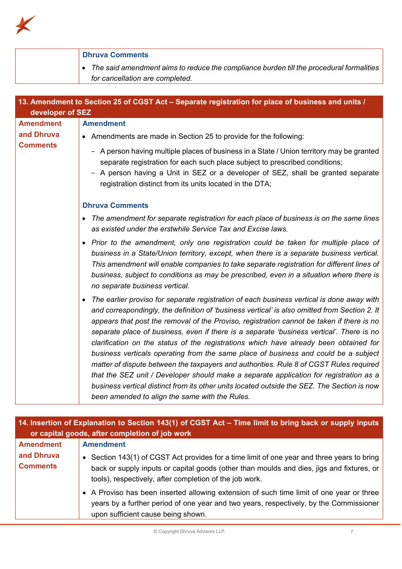

|                                                                       | <b>Dhruva Comments</b>                                                                                                                                                                                                                                                                                                                                                                                                                                                                                                                                                                                                                                                                                                                                                                                                                                                                                                                                                                                                                                                                                                              |
|-----------------------------------------------------------------------|-------------------------------------------------------------------------------------------------------------------------------------------------------------------------------------------------------------------------------------------------------------------------------------------------------------------------------------------------------------------------------------------------------------------------------------------------------------------------------------------------------------------------------------------------------------------------------------------------------------------------------------------------------------------------------------------------------------------------------------------------------------------------------------------------------------------------------------------------------------------------------------------------------------------------------------------------------------------------------------------------------------------------------------------------------------------------------------------------------------------------------------|
|                                                                       | The said amendment aims to reduce the compliance burden till the procedural formalities<br>$\bullet$<br>for cancellation are completed.                                                                                                                                                                                                                                                                                                                                                                                                                                                                                                                                                                                                                                                                                                                                                                                                                                                                                                                                                                                             |
|                                                                       | 13. Amendment to Section 25 of CGST Act - Separate registration for place of business and units /                                                                                                                                                                                                                                                                                                                                                                                                                                                                                                                                                                                                                                                                                                                                                                                                                                                                                                                                                                                                                                   |
| developer of SEZ<br><b>Amendment</b><br>and Dhruva<br><b>Comments</b> | <b>Amendment</b><br>• Amendments are made in Section 25 to provide for the following:<br>- A person having multiple places of business in a State / Union territory may be granted<br>separate registration for each such place subject to prescribed conditions;<br>A person having a Unit in SEZ or a developer of SEZ, shall be granted separate<br>registration distinct from its units located in the DTA;<br><b>Dhruva Comments</b><br>The amendment for separate registration for each place of business is on the same lines<br>$\bullet$<br>as existed under the erstwhile Service Tax and Excise laws.<br>• Prior to the amendment, only one registration could be taken for multiple place of<br>business in a State/Union territory, except, when there is a separate business vertical.                                                                                                                                                                                                                                                                                                                                |
|                                                                       | This amendment will enable companies to take separate registration for different lines of<br>business, subject to conditions as may be prescribed, even in a situation where there is<br>no separate business vertical.<br>The earlier proviso for separate registration of each business vertical is done away with<br>and correspondingly, the definition of 'business vertical' is also omitted from Section 2. It<br>appears that post the removal of the Proviso, registration cannot be taken if there is no<br>separate place of business, even if there is a separate 'business vertical'. There is no<br>clarification on the status of the registrations which have already been obtained for<br>business verticals operating from the same place of business and could be a subject<br>matter of dispute between the taxpayers and authorities. Rule 8 of CGST Rules required<br>that the SEZ unit / Developer should make a separate application for registration as a<br>business vertical distinct from its other units located outside the SEZ. The Section is now<br>been amended to align the same with the Rules. |

| 14. Insertion of Explanation to Section 143(1) of CGST Act – Time limit to bring back or supply inputs<br>or capital goods, after completion of job work |                                                                                                                                                                                                                                                                         |
|----------------------------------------------------------------------------------------------------------------------------------------------------------|-------------------------------------------------------------------------------------------------------------------------------------------------------------------------------------------------------------------------------------------------------------------------|
| <b>Amendment</b><br>and Dhruva<br><b>Comments</b>                                                                                                        | <b>Amendment</b><br>• Section 143(1) of CGST Act provides for a time limit of one year and three years to bring<br>back or supply inputs or capital goods (other than moulds and dies, jigs and fixtures, or<br>tools), respectively, after completion of the job work. |
|                                                                                                                                                          | • A Proviso has been inserted allowing extension of such time limit of one year or three<br>years by a further period of one year and two years, respectively, by the Commissioner<br>upon sufficient cause being shown.                                                |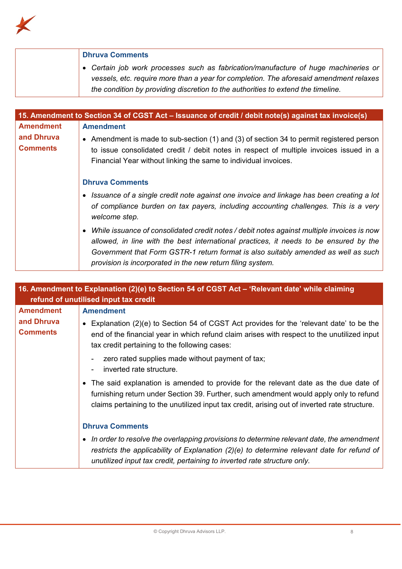

| <b>Dhruva Comments</b>                                                                                                                                                        |
|-------------------------------------------------------------------------------------------------------------------------------------------------------------------------------|
| • Certain job work processes such as fabrication/manufacture of huge machineries or<br>vessels, etc. require more than a year for completion. The aforesaid amendment relaxes |
| the condition by providing discretion to the authorities to extend the timeline.                                                                                              |

|                               | 15. Amendment to Section 34 of CGST Act – Issuance of credit / debit note(s) against tax invoice(s)                                                                                                                                                                                                                                       |
|-------------------------------|-------------------------------------------------------------------------------------------------------------------------------------------------------------------------------------------------------------------------------------------------------------------------------------------------------------------------------------------|
| <b>Amendment</b>              | <b>Amendment</b>                                                                                                                                                                                                                                                                                                                          |
| and Dhruva<br><b>Comments</b> | • Amendment is made to sub-section (1) and (3) of section 34 to permit registered person<br>to issue consolidated credit / debit notes in respect of multiple invoices issued in a<br>Financial Year without linking the same to individual invoices.                                                                                     |
|                               | <b>Dhruva Comments</b>                                                                                                                                                                                                                                                                                                                    |
|                               | • Issuance of a single credit note against one invoice and linkage has been creating a lot<br>of compliance burden on tax payers, including accounting challenges. This is a very<br>welcome step.                                                                                                                                        |
|                               | • While issuance of consolidated credit notes / debit notes against multiple invoices is now<br>allowed, in line with the best international practices, it needs to be ensured by the<br>Government that Form GSTR-1 return format is also suitably amended as well as such<br>provision is incorporated in the new return filing system. |

| 16. Amendment to Explanation (2)(e) to Section 54 of CGST Act - 'Relevant date' while claiming<br>refund of unutilised input tax credit |                                                                                                                                                                                                                                                                                  |  |
|-----------------------------------------------------------------------------------------------------------------------------------------|----------------------------------------------------------------------------------------------------------------------------------------------------------------------------------------------------------------------------------------------------------------------------------|--|
| <b>Amendment</b>                                                                                                                        | <b>Amendment</b>                                                                                                                                                                                                                                                                 |  |
| and Dhruva<br><b>Comments</b>                                                                                                           | • Explanation (2)(e) to Section 54 of CGST Act provides for the 'relevant date' to be the<br>end of the financial year in which refund claim arises with respect to the unutilized input<br>tax credit pertaining to the following cases:                                        |  |
|                                                                                                                                         | zero rated supplies made without payment of tax;<br>inverted rate structure.                                                                                                                                                                                                     |  |
|                                                                                                                                         | • The said explanation is amended to provide for the relevant date as the due date of<br>furnishing return under Section 39. Further, such amendment would apply only to refund<br>claims pertaining to the unutilized input tax credit, arising out of inverted rate structure. |  |
|                                                                                                                                         | <b>Dhruva Comments</b>                                                                                                                                                                                                                                                           |  |
|                                                                                                                                         | • In order to resolve the overlapping provisions to determine relevant date, the amendment<br>restricts the applicability of Explanation (2)(e) to determine relevant date for refund of<br>unutilized input tax credit, pertaining to inverted rate structure only.             |  |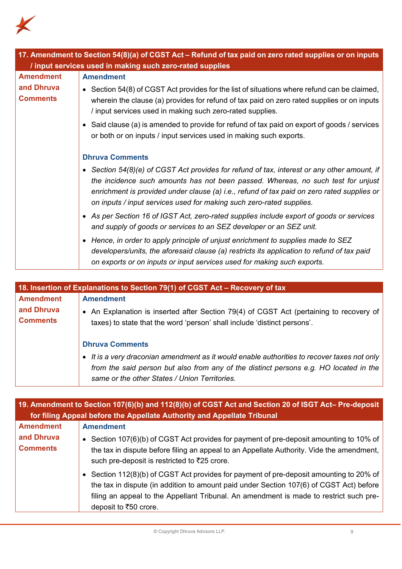

| 17. Amendment to Section 54(8)(a) of CGST Act - Refund of tax paid on zero rated supplies or on inputs<br>/ input services used in making such zero-rated supplies |                                                                                                                                                                                                                                                                                                                                                                                                                                                                                                                                                                                                                                                                                                                                                                                                                  |  |
|--------------------------------------------------------------------------------------------------------------------------------------------------------------------|------------------------------------------------------------------------------------------------------------------------------------------------------------------------------------------------------------------------------------------------------------------------------------------------------------------------------------------------------------------------------------------------------------------------------------------------------------------------------------------------------------------------------------------------------------------------------------------------------------------------------------------------------------------------------------------------------------------------------------------------------------------------------------------------------------------|--|
| <b>Amendment</b><br>and Dhruva<br><b>Comments</b>                                                                                                                  | <b>Amendment</b><br>• Section $54(8)$ of CGST Act provides for the list of situations where refund can be claimed,<br>wherein the clause (a) provides for refund of tax paid on zero rated supplies or on inputs<br>/ input services used in making such zero-rated supplies.<br>• Said clause (a) is amended to provide for refund of tax paid on export of goods / services<br>or both or on inputs / input services used in making such exports.                                                                                                                                                                                                                                                                                                                                                              |  |
|                                                                                                                                                                    | <b>Dhruva Comments</b><br>• Section 54(8)(e) of CGST Act provides for refund of tax, interest or any other amount, if<br>the incidence such amounts has not been passed. Whereas, no such test for unjust<br>enrichment is provided under clause (a) i.e., refund of tax paid on zero rated supplies or<br>on inputs / input services used for making such zero-rated supplies.<br>• As per Section 16 of IGST Act, zero-rated supplies include export of goods or services<br>and supply of goods or services to an SEZ developer or an SEZ unit.<br>• Hence, in order to apply principle of unjust enrichment to supplies made to SEZ<br>developers/units, the aforesaid clause (a) restricts its application to refund of tax paid<br>on exports or on inputs or input services used for making such exports. |  |

| 18. Insertion of Explanations to Section 79(1) of CGST Act - Recovery of tax |                                                                                                                                                                                                                                       |  |
|------------------------------------------------------------------------------|---------------------------------------------------------------------------------------------------------------------------------------------------------------------------------------------------------------------------------------|--|
| <b>Amendment</b>                                                             | <b>Amendment</b>                                                                                                                                                                                                                      |  |
| and Dhruva<br><b>Comments</b>                                                | • An Explanation is inserted after Section 79(4) of CGST Act (pertaining to recovery of<br>taxes) to state that the word 'person' shall include 'distinct persons'.                                                                   |  |
|                                                                              | <b>Dhruva Comments</b>                                                                                                                                                                                                                |  |
|                                                                              | • It is a very draconian amendment as it would enable authorities to recover taxes not only<br>from the said person but also from any of the distinct persons e.g. HO located in the<br>same or the other States / Union Territories. |  |

| 19. Amendment to Section 107(6)(b) and 112(8)(b) of CGST Act and Section 20 of ISGT Act-Pre-deposit<br>for filing Appeal before the Appellate Authority and Appellate Tribunal |                                                                                                                                                                                                                                                                                                       |
|--------------------------------------------------------------------------------------------------------------------------------------------------------------------------------|-------------------------------------------------------------------------------------------------------------------------------------------------------------------------------------------------------------------------------------------------------------------------------------------------------|
| <b>Amendment</b>                                                                                                                                                               | <b>Amendment</b>                                                                                                                                                                                                                                                                                      |
| and Dhruva<br><b>Comments</b>                                                                                                                                                  | • Section 107(6)(b) of CGST Act provides for payment of pre-deposit amounting to 10% of<br>the tax in dispute before filing an appeal to an Appellate Authority. Vide the amendment,<br>such pre-deposit is restricted to ₹25 crore.                                                                  |
|                                                                                                                                                                                | • Section 112(8)(b) of CGST Act provides for payment of pre-deposit amounting to 20% of<br>the tax in dispute (in addition to amount paid under Section 107(6) of CGST Act) before<br>filing an appeal to the Appellant Tribunal. An amendment is made to restrict such pre-<br>deposit to ₹50 crore. |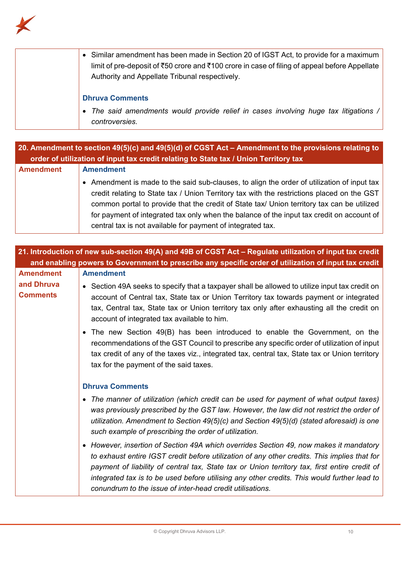

| • Similar amendment has been made in Section 20 of IGST Act, to provide for a maximum<br>limit of pre-deposit of ₹50 crore and ₹100 crore in case of filing of appeal before Appellate<br>Authority and Appellate Tribunal respectively. |
|------------------------------------------------------------------------------------------------------------------------------------------------------------------------------------------------------------------------------------------|
| <b>Dhruva Comments</b>                                                                                                                                                                                                                   |
| • The said amendments would provide relief in cases involving huge tax litigations /<br>controversies.                                                                                                                                   |

| 20. Amendment to section 49(5)(c) and 49(5)(d) of CGST Act – Amendment to the provisions relating to<br>order of utilization of input tax credit relating to State tax / Union Territory tax |                                                                                                                                                                                                                                                                                                                                                                                                                                                     |
|----------------------------------------------------------------------------------------------------------------------------------------------------------------------------------------------|-----------------------------------------------------------------------------------------------------------------------------------------------------------------------------------------------------------------------------------------------------------------------------------------------------------------------------------------------------------------------------------------------------------------------------------------------------|
| <b>Amendment</b>                                                                                                                                                                             | <b>Amendment</b>                                                                                                                                                                                                                                                                                                                                                                                                                                    |
|                                                                                                                                                                                              | • Amendment is made to the said sub-clauses, to align the order of utilization of input tax<br>credit relating to State tax / Union Territory tax with the restrictions placed on the GST<br>common portal to provide that the credit of State tax/ Union territory tax can be utilized<br>for payment of integrated tax only when the balance of the input tax credit on account of<br>central tax is not available for payment of integrated tax. |

| 21. Introduction of new sub-section 49(A) and 49B of CGST Act - Regulate utilization of input tax credit |                                                                                                                                                                                                                                                                                                                                                                                                                                                     |
|----------------------------------------------------------------------------------------------------------|-----------------------------------------------------------------------------------------------------------------------------------------------------------------------------------------------------------------------------------------------------------------------------------------------------------------------------------------------------------------------------------------------------------------------------------------------------|
| and enabling powers to Government to prescribe any specific order of utilization of input tax credit     |                                                                                                                                                                                                                                                                                                                                                                                                                                                     |
| <b>Amendment</b>                                                                                         | <b>Amendment</b>                                                                                                                                                                                                                                                                                                                                                                                                                                    |
| and Dhruva<br><b>Comments</b>                                                                            | • Section 49A seeks to specify that a taxpayer shall be allowed to utilize input tax credit on<br>account of Central tax, State tax or Union Territory tax towards payment or integrated<br>tax, Central tax, State tax or Union territory tax only after exhausting all the credit on<br>account of integrated tax available to him.                                                                                                               |
|                                                                                                          | • The new Section 49(B) has been introduced to enable the Government, on the<br>recommendations of the GST Council to prescribe any specific order of utilization of input<br>tax credit of any of the taxes viz., integrated tax, central tax, State tax or Union territory<br>tax for the payment of the said taxes.                                                                                                                              |
|                                                                                                          | <b>Dhruva Comments</b>                                                                                                                                                                                                                                                                                                                                                                                                                              |
|                                                                                                          | • The manner of utilization (which credit can be used for payment of what output taxes)<br>was previously prescribed by the GST law. However, the law did not restrict the order of<br>utilization. Amendment to Section 49(5)(c) and Section 49(5)(d) (stated aforesaid) is one<br>such example of prescribing the order of utilization.                                                                                                           |
|                                                                                                          | • However, insertion of Section 49A which overrides Section 49, now makes it mandatory<br>to exhaust entire IGST credit before utilization of any other credits. This implies that for<br>payment of liability of central tax, State tax or Union territory tax, first entire credit of<br>integrated tax is to be used before utilising any other credits. This would further lead to<br>conundrum to the issue of inter-head credit utilisations. |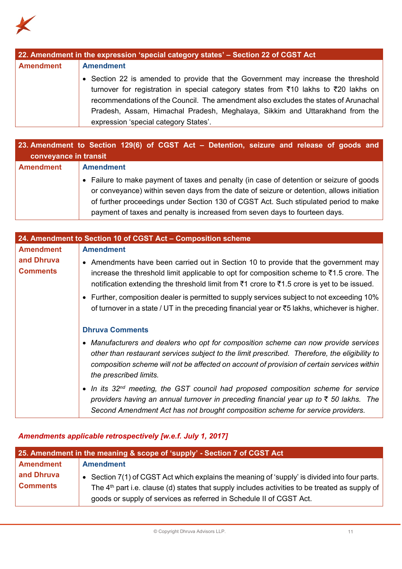

| 22. Amendment in the expression 'special category states' - Section 22 of CGST Act |                                                                                     |
|------------------------------------------------------------------------------------|-------------------------------------------------------------------------------------|
| <b>Amendment</b>                                                                   | <b>Amendment</b>                                                                    |
|                                                                                    | • Section 22 is amended to provide that the Government may increase the threshold   |
|                                                                                    | turnover for registration in special category states from ₹10 lakhs to ₹20 lakhs on |
|                                                                                    | recommendations of the Council. The amendment also excludes the states of Arunachal |
|                                                                                    | Pradesh, Assam, Himachal Pradesh, Meghalaya, Sikkim and Uttarakhand from the        |
|                                                                                    | expression 'special category States'.                                               |

| 23. Amendment to Section 129(6) of CGST Act – Detention, seizure and release of goods and<br>conveyance in transit |                                                                                           |
|--------------------------------------------------------------------------------------------------------------------|-------------------------------------------------------------------------------------------|
|                                                                                                                    |                                                                                           |
| <b>Amendment</b>                                                                                                   | <b>Amendment</b>                                                                          |
|                                                                                                                    | • Failure to make payment of taxes and penalty (in case of detention or seizure of goods  |
|                                                                                                                    | or conveyance) within seven days from the date of seizure or detention, allows initiation |
|                                                                                                                    | of further proceedings under Section 130 of CGST Act. Such stipulated period to make      |
|                                                                                                                    | payment of taxes and penalty is increased from seven days to fourteen days.               |

| 24. Amendment to Section 10 of CGST Act - Composition scheme |                                                                                                                                                                                                                                                                                                              |  |
|--------------------------------------------------------------|--------------------------------------------------------------------------------------------------------------------------------------------------------------------------------------------------------------------------------------------------------------------------------------------------------------|--|
| <b>Amendment</b>                                             | <b>Amendment</b>                                                                                                                                                                                                                                                                                             |  |
| and Dhruva<br><b>Comments</b>                                | • Amendments have been carried out in Section 10 to provide that the government may<br>increase the threshold limit applicable to opt for composition scheme to ₹1.5 crore. The<br>notification extending the threshold limit from $\bar{\tau}1$ crore to $\bar{\tau}1.5$ crore is yet to be issued.         |  |
|                                                              | • Further, composition dealer is permitted to supply services subject to not exceeding 10%<br>of turnover in a state / UT in the preceding financial year or $\overline{5}$ lakhs, whichever is higher.                                                                                                      |  |
|                                                              | <b>Dhruva Comments</b>                                                                                                                                                                                                                                                                                       |  |
|                                                              | • Manufacturers and dealers who opt for composition scheme can now provide services<br>other than restaurant services subject to the limit prescribed. Therefore, the eligibility to<br>composition scheme will not be affected on account of provision of certain services within<br>the prescribed limits. |  |
|                                                              | • In its 32 <sup>nd</sup> meeting, the GST council had proposed composition scheme for service<br>providers having an annual turnover in preceding financial year up to $\bar{\tau}$ 50 lakhs. The<br>Second Amendment Act has not brought composition scheme for service providers.                         |  |

# *Amendments applicable retrospectively [w.e.f. July 1, 2017]*

| 25. Amendment in the meaning & scope of 'supply' - Section 7 of CGST Act |                                                                                                                                                                                                                                                                          |
|--------------------------------------------------------------------------|--------------------------------------------------------------------------------------------------------------------------------------------------------------------------------------------------------------------------------------------------------------------------|
| <b>Amendment</b>                                                         | <b>Amendment</b>                                                                                                                                                                                                                                                         |
| and Dhruva<br><b>Comments</b>                                            | • Section 7(1) of CGST Act which explains the meaning of 'supply' is divided into four parts.<br>The $4th$ part i.e. clause (d) states that supply includes activities to be treated as supply of<br>goods or supply of services as referred in Schedule II of CGST Act. |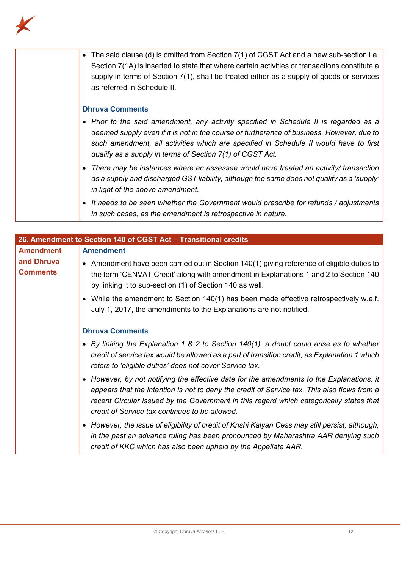

| The said clause (d) is omitted from Section 7(1) of CGST Act and a new sub-section i.e.<br>$\bullet$<br>Section 7(1A) is inserted to state that where certain activities or transactions constitute a<br>supply in terms of Section $7(1)$ , shall be treated either as a supply of goods or services<br>as referred in Schedule II.     |
|------------------------------------------------------------------------------------------------------------------------------------------------------------------------------------------------------------------------------------------------------------------------------------------------------------------------------------------|
| <b>Dhruva Comments</b>                                                                                                                                                                                                                                                                                                                   |
| • Prior to the said amendment, any activity specified in Schedule II is regarded as a<br>deemed supply even if it is not in the course or furtherance of business. However, due to<br>such amendment, all activities which are specified in Schedule II would have to first<br>qualify as a supply in terms of Section 7(1) of CGST Act. |
| There may be instances where an assessee would have treated an activity/ transaction<br>as a supply and discharged GST liability, although the same does not qualify as a 'supply'<br>in light of the above amendment.                                                                                                                   |
| It needs to be seen whether the Government would prescribe for refunds / adjustments<br>$\bullet$<br>in such cases, as the amendment is retrospective in nature.                                                                                                                                                                         |

| 26. Amendment to Section 140 of CGST Act - Transitional credits |                                                                                                                                                                                                                                                                                                                                       |  |
|-----------------------------------------------------------------|---------------------------------------------------------------------------------------------------------------------------------------------------------------------------------------------------------------------------------------------------------------------------------------------------------------------------------------|--|
| <b>Amendment</b>                                                | <b>Amendment</b>                                                                                                                                                                                                                                                                                                                      |  |
| and Dhruva<br><b>Comments</b>                                   | • Amendment have been carried out in Section 140(1) giving reference of eligible duties to<br>the term 'CENVAT Credit' along with amendment in Explanations 1 and 2 to Section 140<br>by linking it to sub-section (1) of Section 140 as well.                                                                                        |  |
|                                                                 | • While the amendment to Section 140(1) has been made effective retrospectively w.e.f.<br>July 1, 2017, the amendments to the Explanations are not notified.                                                                                                                                                                          |  |
|                                                                 | <b>Dhruva Comments</b>                                                                                                                                                                                                                                                                                                                |  |
|                                                                 | • By linking the Explanation 1 & 2 to Section 140(1), a doubt could arise as to whether<br>credit of service tax would be allowed as a part of transition credit, as Explanation 1 which<br>refers to 'eligible duties' does not cover Service tax.                                                                                   |  |
|                                                                 | • However, by not notifying the effective date for the amendments to the Explanations, it<br>appears that the intention is not to deny the credit of Service tax. This also flows from a<br>recent Circular issued by the Government in this regard which categorically states that<br>credit of Service tax continues to be allowed. |  |
|                                                                 | • However, the issue of eligibility of credit of Krishi Kalyan Cess may still persist; although,<br>in the past an advance ruling has been pronounced by Maharashtra AAR denying such<br>credit of KKC which has also been upheld by the Appellate AAR.                                                                               |  |